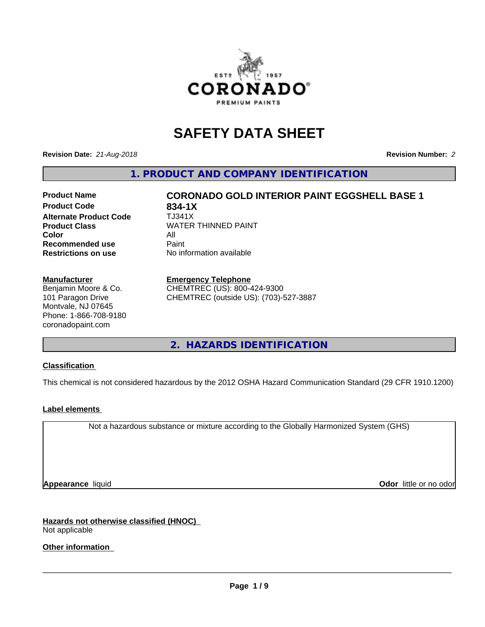

# **SAFETY DATA SHEET**

**Revision Date:** *21-Aug-2018* **Revision Number:** *2*

**1. PRODUCT AND COMPANY IDENTIFICATION**

# **Product Name CORONADO GOLD INTERIOR PAINT EGGSHELL BASE 1**

**Product Code 634-1X<br>Alternate Product Code 61341X Alternate Product Code Color** All All<br>**Recommended use** Paint **Recommended use Restrictions on use** No information available

**Product Class WATER THINNED PAINT** 

### **Manufacturer**

Benjamin Moore & Co. 101 Paragon Drive Montvale, NJ 07645 Phone: 1-866-708-9180 coronadopaint.com

### **Emergency Telephone**

CHEMTREC (US): 800-424-9300 CHEMTREC (outside US): (703)-527-3887

**2. HAZARDS IDENTIFICATION**

### **Classification**

This chemical is not considered hazardous by the 2012 OSHA Hazard Communication Standard (29 CFR 1910.1200)

### **Label elements**

Not a hazardous substance or mixture according to the Globally Harmonized System (GHS)

**Appearance** liquid **Contract Contract Contract Contract Contract Contract Contract Contract Contract Contract Contract Contract Contract Contract Contract Contract Contract Contract Contract Contract Contract Contract Con** 

**Hazards not otherwise classified (HNOC)** Not applicable

**Other information**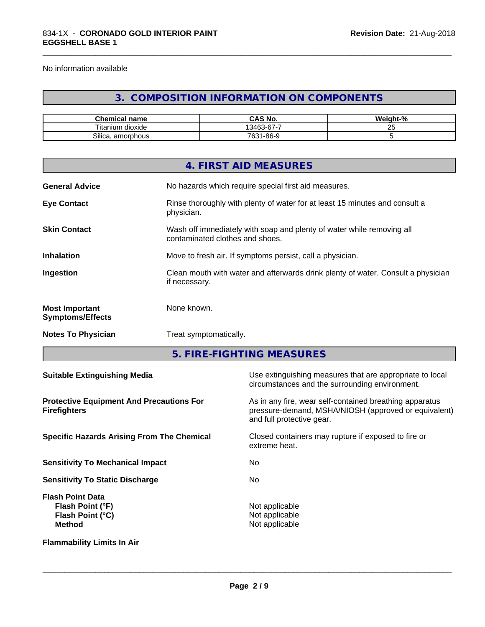No information available

## **3. COMPOSITION INFORMATION ON COMPONENTS**

\_\_\_\_\_\_\_\_\_\_\_\_\_\_\_\_\_\_\_\_\_\_\_\_\_\_\_\_\_\_\_\_\_\_\_\_\_\_\_\_\_\_\_\_\_\_\_\_\_\_\_\_\_\_\_\_\_\_\_\_\_\_\_\_\_\_\_\_\_\_\_\_\_\_\_\_\_\_\_\_\_\_\_\_\_\_\_\_\_\_\_\_\_

| $\sim$<br>Chemical<br>name        | $\sim$ 11<br>NO.<br>. И<br>טאט                                | .<br>- 70 |
|-----------------------------------|---------------------------------------------------------------|-----------|
| ÷.<br><br>⊺ıtan<br>um.<br>dioxide | --<br>$\sim$<br>$\sqrt{2}$<br>$\overline{\phantom{a}}$<br>341 | --<br>∼   |
| $\sim$<br>amorphous<br>Silica,    | - 86-9، ر<br>7631-<br>ັບບ                                     |           |

|                                                  | 4. FIRST AID MEASURES                                                                                    |
|--------------------------------------------------|----------------------------------------------------------------------------------------------------------|
| <b>General Advice</b>                            | No hazards which require special first aid measures.                                                     |
| <b>Eye Contact</b>                               | Rinse thoroughly with plenty of water for at least 15 minutes and consult a<br>physician.                |
| <b>Skin Contact</b>                              | Wash off immediately with soap and plenty of water while removing all<br>contaminated clothes and shoes. |
| <b>Inhalation</b>                                | Move to fresh air. If symptoms persist, call a physician.                                                |
| Ingestion                                        | Clean mouth with water and afterwards drink plenty of water. Consult a physician<br>if necessary.        |
| <b>Most Important</b><br><b>Symptoms/Effects</b> | None known.                                                                                              |
| <b>Notes To Physician</b>                        | Treat symptomatically.                                                                                   |
|                                                  |                                                                                                          |

**5. FIRE-FIGHTING MEASURES**

| <b>Suitable Extinguishing Media</b>                                              | Use extinguishing measures that are appropriate to local<br>circumstances and the surrounding environment.                                   |
|----------------------------------------------------------------------------------|----------------------------------------------------------------------------------------------------------------------------------------------|
| <b>Protective Equipment And Precautions For</b><br><b>Firefighters</b>           | As in any fire, wear self-contained breathing apparatus<br>pressure-demand, MSHA/NIOSH (approved or equivalent)<br>and full protective gear. |
| <b>Specific Hazards Arising From The Chemical</b>                                | Closed containers may rupture if exposed to fire or<br>extreme heat.                                                                         |
| <b>Sensitivity To Mechanical Impact</b>                                          | No.                                                                                                                                          |
| <b>Sensitivity To Static Discharge</b>                                           | No.                                                                                                                                          |
| <b>Flash Point Data</b><br>Flash Point (°F)<br>Flash Point (°C)<br><b>Method</b> | Not applicable<br>Not applicable<br>Not applicable                                                                                           |
| <b>Flammability Limits In Air</b>                                                |                                                                                                                                              |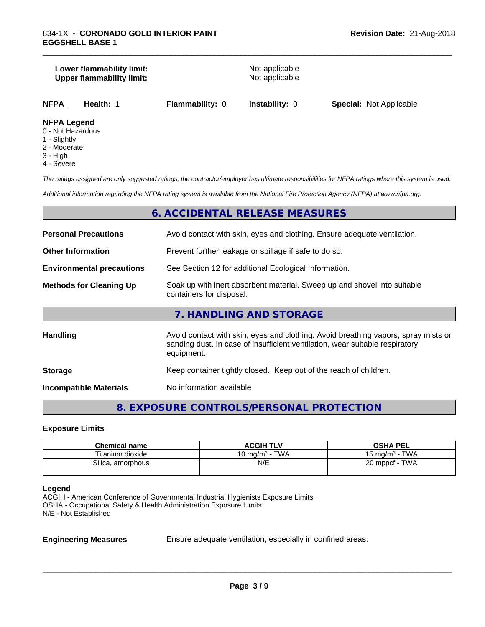### **Lower flammability limit:**<br> **Upper flammability limit:**<br>
Upper flammability limit:<br>
Not applicable **Upper flammability limit:**

\_\_\_\_\_\_\_\_\_\_\_\_\_\_\_\_\_\_\_\_\_\_\_\_\_\_\_\_\_\_\_\_\_\_\_\_\_\_\_\_\_\_\_\_\_\_\_\_\_\_\_\_\_\_\_\_\_\_\_\_\_\_\_\_\_\_\_\_\_\_\_\_\_\_\_\_\_\_\_\_\_\_\_\_\_\_\_\_\_\_\_\_\_

| NFPA<br><b>Flammability: 0</b><br><b>Special: Not Applicable</b><br><b>Instability: 0</b><br>Health: |
|------------------------------------------------------------------------------------------------------|
|------------------------------------------------------------------------------------------------------|

### **NFPA Legend**

- 0 Not Hazardous
- 1 Slightly
- 2 Moderate
- 3 High
- 4 Severe

*The ratings assigned are only suggested ratings, the contractor/employer has ultimate responsibilities for NFPA ratings where this system is used.*

*Additional information regarding the NFPA rating system is available from the National Fire Protection Agency (NFPA) at www.nfpa.org.*

### **6. ACCIDENTAL RELEASE MEASURES**

| <b>Personal Precautions</b>      | Avoid contact with skin, eyes and clothing. Ensure adequate ventilation.                                                                                                         |
|----------------------------------|----------------------------------------------------------------------------------------------------------------------------------------------------------------------------------|
| <b>Other Information</b>         | Prevent further leakage or spillage if safe to do so.                                                                                                                            |
| <b>Environmental precautions</b> | See Section 12 for additional Ecological Information.                                                                                                                            |
| <b>Methods for Cleaning Up</b>   | Soak up with inert absorbent material. Sweep up and shovel into suitable<br>containers for disposal.                                                                             |
|                                  | 7. HANDLING AND STORAGE                                                                                                                                                          |
| <b>Handling</b>                  | Avoid contact with skin, eyes and clothing. Avoid breathing vapors, spray mists or<br>sanding dust. In case of insufficient ventilation, wear suitable respiratory<br>equipment. |
| <b>Storage</b>                   | Keep container tightly closed. Keep out of the reach of children.                                                                                                                |
| <b>Incompatible Materials</b>    | No information available                                                                                                                                                         |

### **8. EXPOSURE CONTROLS/PERSONAL PROTECTION**

### **Exposure Limits**

| <b>Chemical name</b>   | <b>ACGIH TLV</b>                    | <b>OSHA PEL</b>                   |
|------------------------|-------------------------------------|-----------------------------------|
| Titanium dioxide       | <b>TWA</b><br>$.0 \text{ mg/m}^3$ - | <b>TWA</b><br>ം mg/m <sup>3</sup> |
| Silica,<br>, amorphous | N/E                                 | TWA<br>20 mppcf                   |

### **Legend**

ACGIH - American Conference of Governmental Industrial Hygienists Exposure Limits OSHA - Occupational Safety & Health Administration Exposure Limits N/E - Not Established

**Engineering Measures** Ensure adequate ventilation, especially in confined areas.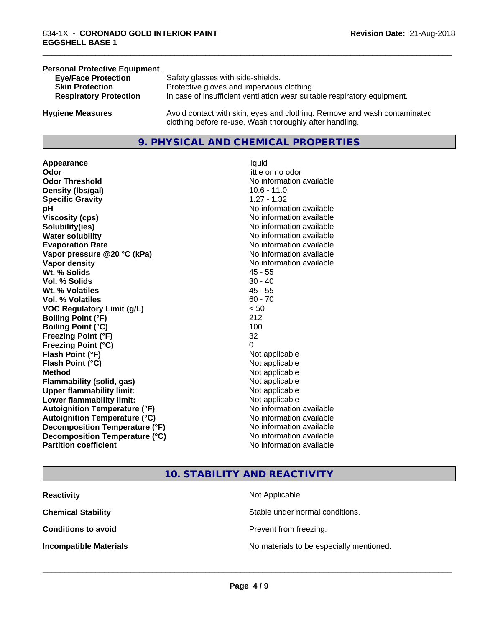### **Personal Protective Equipment**<br> **Eve/Face Protection Eye/Face Protection** Safety glasses with side-shields.<br> **Skin Protection** Protective gloves and impervious Protective gloves and impervious clothing. **Respiratory Protection** In case of insufficient ventilation wear suitable respiratory equipment. **Hygiene Measures** Avoid contact with skin, eyes and clothing. Remove and wash contaminated

### **9. PHYSICAL AND CHEMICAL PROPERTIES**

clothing before re-use. Wash thoroughly after handling.

**Appearance** liquid **Odor**<br> **Odor Threshold**<br> **Odor Threshold**<br> **CODOR**<br> **CODOR**<br> **CODOR**<br> **CODOR**<br> **CODOR**<br> **CODOR**<br> **CODOR**<br> **CODOR**<br> **CODOR**<br> **CODOR Density (Ibs/gal)** 10.6 - 11.0 **Specific Gravity** 1.27 - 1.32 **pH pH**  $\blacksquare$ **Viscosity (cps)** No information available **Solubility(ies)** No information available **Water solubility** No information available **Evaporation Rate No information available No information available Vapor pressure @20 °C (kPa)** No information available **Vapor density No information available No information available Wt. % Solids** 45 - 55 **Vol. % Solids** 30 - 40 **Wt. % Volatiles** 45 - 55 **Vol. % Volatiles** 60 - 70 **VOC Regulatory Limit (g/L)** < 50 **Boiling Point (°F)** 212 **Boiling Point (°C)** 100 **Freezing Point (°F)** 32 **Freezing Point (°C)** 0 **Flash Point (°F)**<br> **Flash Point (°C)**<br> **Flash Point (°C)**<br> **Point (°C)**<br> **Point (°C)**<br> **Point (°C)**<br> **Point (°C)**<br> **Point (°C) Flash Point (°C) Method** Not applicable Not applicable **Flammability (solid, gas)** Not applicable **Upper flammability limit:** Not applicable **Lower flammability limit:** Not applicable **Autoignition Temperature (°F)** No information available **Autoignition Temperature (°C)** No information available **Decomposition Temperature (°F)**<br> **Decomposition Temperature (°C)** No information available **Decomposition Temperature (°C) Partition coefficient Contract Community No information available** 

# **No information available**

\_\_\_\_\_\_\_\_\_\_\_\_\_\_\_\_\_\_\_\_\_\_\_\_\_\_\_\_\_\_\_\_\_\_\_\_\_\_\_\_\_\_\_\_\_\_\_\_\_\_\_\_\_\_\_\_\_\_\_\_\_\_\_\_\_\_\_\_\_\_\_\_\_\_\_\_\_\_\_\_\_\_\_\_\_\_\_\_\_\_\_\_\_

### **10. STABILITY AND REACTIVITY**

| <b>Reactivity</b>             | Not Applicable                           |
|-------------------------------|------------------------------------------|
| <b>Chemical Stability</b>     | Stable under normal conditions.          |
| <b>Conditions to avoid</b>    | Prevent from freezing.                   |
| <b>Incompatible Materials</b> | No materials to be especially mentioned. |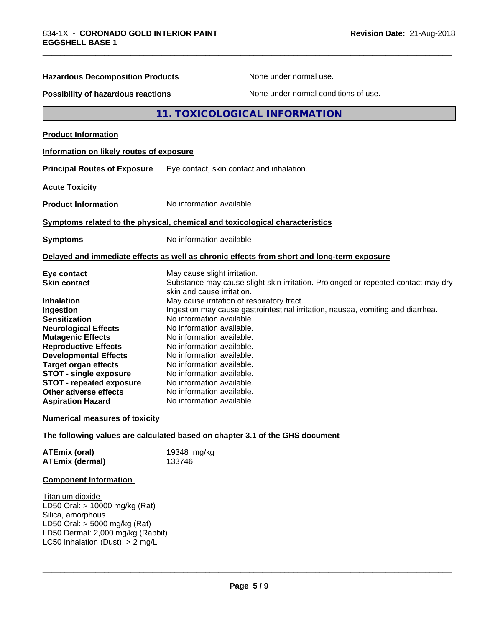| <b>Hazardous Decomposition Products</b>  | None under normal use.                                                                                          |
|------------------------------------------|-----------------------------------------------------------------------------------------------------------------|
| Possibility of hazardous reactions       | None under normal conditions of use.                                                                            |
|                                          | 11. TOXICOLOGICAL INFORMATION                                                                                   |
| <b>Product Information</b>               |                                                                                                                 |
| Information on likely routes of exposure |                                                                                                                 |
| <b>Principal Routes of Exposure</b>      | Eye contact, skin contact and inhalation.                                                                       |
| <b>Acute Toxicity</b>                    |                                                                                                                 |
| <b>Product Information</b>               | No information available                                                                                        |
|                                          | Symptoms related to the physical, chemical and toxicological characteristics                                    |
| <b>Symptoms</b>                          | No information available                                                                                        |
|                                          | Delayed and immediate effects as well as chronic effects from short and long-term exposure                      |
| Eye contact                              | May cause slight irritation.                                                                                    |
| <b>Skin contact</b>                      | Substance may cause slight skin irritation. Prolonged or repeated contact may dry<br>skin and cause irritation. |
| <b>Inhalation</b>                        | May cause irritation of respiratory tract.                                                                      |
| Ingestion                                | Ingestion may cause gastrointestinal irritation, nausea, vomiting and diarrhea.                                 |
| <b>Sensitization</b>                     | No information available                                                                                        |
| <b>Neurological Effects</b>              | No information available.                                                                                       |
| <b>Mutagenic Effects</b>                 | No information available.                                                                                       |
| <b>Reproductive Effects</b>              | No information available.                                                                                       |
| <b>Developmental Effects</b>             | No information available.                                                                                       |
| <b>Target organ effects</b>              | No information available.                                                                                       |
| <b>STOT - single exposure</b>            | No information available.                                                                                       |
| <b>STOT - repeated exposure</b>          | No information available.                                                                                       |
| Other adverse effects                    | No information available.                                                                                       |
| <b>Aspiration Hazard</b>                 | No information available                                                                                        |
| <b>Numerical measures of toxicity</b>    |                                                                                                                 |
|                                          | The following values are calculated based on chapter 3.1 of the GHS document                                    |
| <b>ATEmix (oral)</b>                     | 19348 mg/kg                                                                                                     |
| <b>ATEmix (dermal)</b>                   | 133746                                                                                                          |

### **Component Information**

Titanium dioxide LD50 Oral: > 10000 mg/kg (Rat) Silica, amorphous LD50 Oral: > 5000 mg/kg (Rat) LD50 Dermal: 2,000 mg/kg (Rabbit) LC50 Inhalation (Dust): > 2 mg/L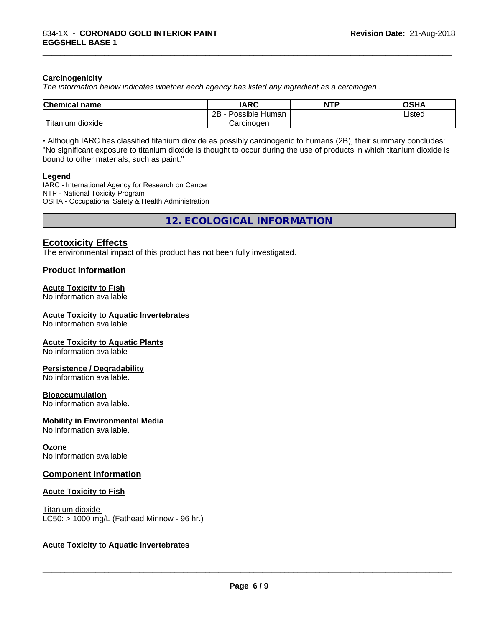### **Carcinogenicity**

*The information below indicateswhether each agency has listed any ingredient as a carcinogen:.*

| <b>Chemical name</b>                    | <b>IARC</b>               | <b>NTP</b> | <b>OSHA</b> |
|-----------------------------------------|---------------------------|------------|-------------|
|                                         | .<br>2B<br>Possible Human |            | Listed      |
| بالمواقعة المراد<br>dioxide<br>Titanium | Carcinogen                |            |             |

\_\_\_\_\_\_\_\_\_\_\_\_\_\_\_\_\_\_\_\_\_\_\_\_\_\_\_\_\_\_\_\_\_\_\_\_\_\_\_\_\_\_\_\_\_\_\_\_\_\_\_\_\_\_\_\_\_\_\_\_\_\_\_\_\_\_\_\_\_\_\_\_\_\_\_\_\_\_\_\_\_\_\_\_\_\_\_\_\_\_\_\_\_

• Although IARC has classified titanium dioxide as possibly carcinogenic to humans (2B), their summary concludes: "No significant exposure to titanium dioxide is thought to occur during the use of products in which titanium dioxide is bound to other materials, such as paint."

### **Legend**

IARC - International Agency for Research on Cancer NTP - National Toxicity Program OSHA - Occupational Safety & Health Administration

**12. ECOLOGICAL INFORMATION**

### **Ecotoxicity Effects**

The environmental impact of this product has not been fully investigated.

### **Product Information**

### **Acute Toxicity to Fish**

No information available

### **Acute Toxicity to Aquatic Invertebrates**

No information available

### **Acute Toxicity to Aquatic Plants**

No information available

### **Persistence / Degradability**

No information available.

### **Bioaccumulation**

No information available.

### **Mobility in Environmental Media**

No information available.

### **Ozone**

No information available

### **Component Information**

### **Acute Toxicity to Fish**

Titanium dioxide  $LC50:$  > 1000 mg/L (Fathead Minnow - 96 hr.)

### **Acute Toxicity to Aquatic Invertebrates**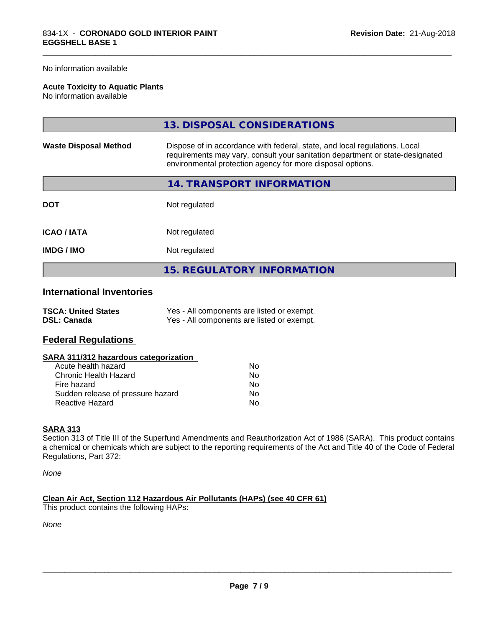### No information available

### **Acute Toxicity to Aquatic Plants**

No information available

|                              | 13. DISPOSAL CONSIDERATIONS                                                                                                                                                                                               |
|------------------------------|---------------------------------------------------------------------------------------------------------------------------------------------------------------------------------------------------------------------------|
| <b>Waste Disposal Method</b> | Dispose of in accordance with federal, state, and local regulations. Local<br>requirements may vary, consult your sanitation department or state-designated<br>environmental protection agency for more disposal options. |
|                              | 14. TRANSPORT INFORMATION                                                                                                                                                                                                 |
| <b>DOT</b>                   | Not regulated                                                                                                                                                                                                             |
| <b>ICAO/IATA</b>             | Not regulated                                                                                                                                                                                                             |
| IMDG / IMO                   | Not regulated                                                                                                                                                                                                             |
|                              | <b>15. REGULATORY INFORMATION</b>                                                                                                                                                                                         |

\_\_\_\_\_\_\_\_\_\_\_\_\_\_\_\_\_\_\_\_\_\_\_\_\_\_\_\_\_\_\_\_\_\_\_\_\_\_\_\_\_\_\_\_\_\_\_\_\_\_\_\_\_\_\_\_\_\_\_\_\_\_\_\_\_\_\_\_\_\_\_\_\_\_\_\_\_\_\_\_\_\_\_\_\_\_\_\_\_\_\_\_\_

### **International Inventories**

| <b>TSCA: United States</b> | Yes - All components are listed or exempt. |
|----------------------------|--------------------------------------------|
| <b>DSL: Canada</b>         | Yes - All components are listed or exempt. |

### **Federal Regulations**

| SARA 311/312 hazardous categorization |  |
|---------------------------------------|--|
|---------------------------------------|--|

| Acute health hazard               | Nο |
|-----------------------------------|----|
| Chronic Health Hazard             | Nο |
| Fire hazard                       | N٥ |
| Sudden release of pressure hazard | Nο |
| Reactive Hazard                   | N٥ |

### **SARA 313**

Section 313 of Title III of the Superfund Amendments and Reauthorization Act of 1986 (SARA). This product contains a chemical or chemicals which are subject to the reporting requirements of the Act and Title 40 of the Code of Federal Regulations, Part 372:

*None*

**Clean Air Act,Section 112 Hazardous Air Pollutants (HAPs) (see 40 CFR 61)** This product contains the following HAPs:

*None*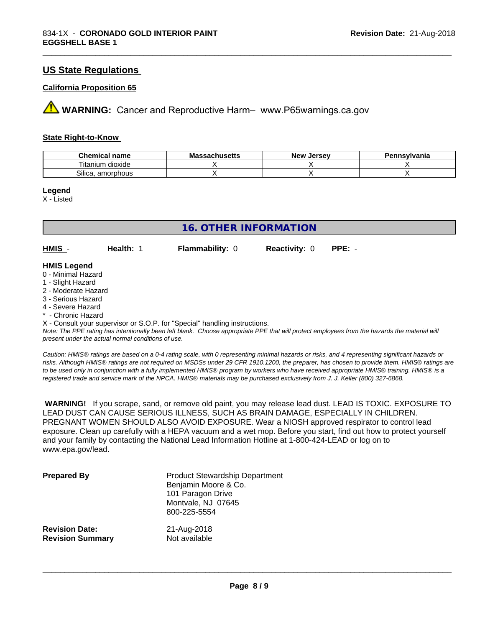### **US State Regulations**

### **California Proposition 65**

**AVIMARNING:** Cancer and Reproductive Harm– www.P65warnings.ca.gov

### **State Right-to-Know**

| Chemical name             | achusetts<br>Ma | . Jersev<br><b>New</b> | Pennsvlvania |
|---------------------------|-----------------|------------------------|--------------|
| --<br>litanium<br>dioxide |                 |                        |              |
| -<br>amorphous<br>Silica. |                 |                        |              |

\_\_\_\_\_\_\_\_\_\_\_\_\_\_\_\_\_\_\_\_\_\_\_\_\_\_\_\_\_\_\_\_\_\_\_\_\_\_\_\_\_\_\_\_\_\_\_\_\_\_\_\_\_\_\_\_\_\_\_\_\_\_\_\_\_\_\_\_\_\_\_\_\_\_\_\_\_\_\_\_\_\_\_\_\_\_\_\_\_\_\_\_\_

### **Legend**

X - Listed

| 16. OTHER INFORMATION |           |                        |                             |  |  |
|-----------------------|-----------|------------------------|-----------------------------|--|--|
| $HMIS -$              | Health: 1 | <b>Flammability: 0</b> | <b>Reactivity: 0 PPE: -</b> |  |  |
| <b>HMIS Legend</b>    |           |                        |                             |  |  |

### 0 - Minimal Hazard

- 1 Slight Hazard
- 2 Moderate Hazard
- 3 Serious Hazard
- 4 Severe Hazard
- \* Chronic Hazard

X - Consult your supervisor or S.O.P. for "Special" handling instructions.

*Note: The PPE rating has intentionally been left blank. Choose appropriate PPE that will protect employees from the hazards the material will present under the actual normal conditions of use.*

*Caution: HMISÒ ratings are based on a 0-4 rating scale, with 0 representing minimal hazards or risks, and 4 representing significant hazards or risks. Although HMISÒ ratings are not required on MSDSs under 29 CFR 1910.1200, the preparer, has chosen to provide them. HMISÒ ratings are to be used only in conjunction with a fully implemented HMISÒ program by workers who have received appropriate HMISÒ training. HMISÒ is a registered trade and service mark of the NPCA. HMISÒ materials may be purchased exclusively from J. J. Keller (800) 327-6868.*

 **WARNING!** If you scrape, sand, or remove old paint, you may release lead dust. LEAD IS TOXIC. EXPOSURE TO LEAD DUST CAN CAUSE SERIOUS ILLNESS, SUCH AS BRAIN DAMAGE, ESPECIALLY IN CHILDREN. PREGNANT WOMEN SHOULD ALSO AVOID EXPOSURE.Wear a NIOSH approved respirator to control lead exposure. Clean up carefully with a HEPA vacuum and a wet mop. Before you start, find out how to protect yourself and your family by contacting the National Lead Information Hotline at 1-800-424-LEAD or log on to www.epa.gov/lead.

| <b>Prepared By</b>      | <b>Product Stewardship Department</b><br>Benjamin Moore & Co.<br>101 Paragon Drive<br>Montvale, NJ 07645<br>800-225-5554 |
|-------------------------|--------------------------------------------------------------------------------------------------------------------------|
| <b>Revision Date:</b>   | 21-Aug-2018                                                                                                              |
| <b>Revision Summary</b> | Not available                                                                                                            |